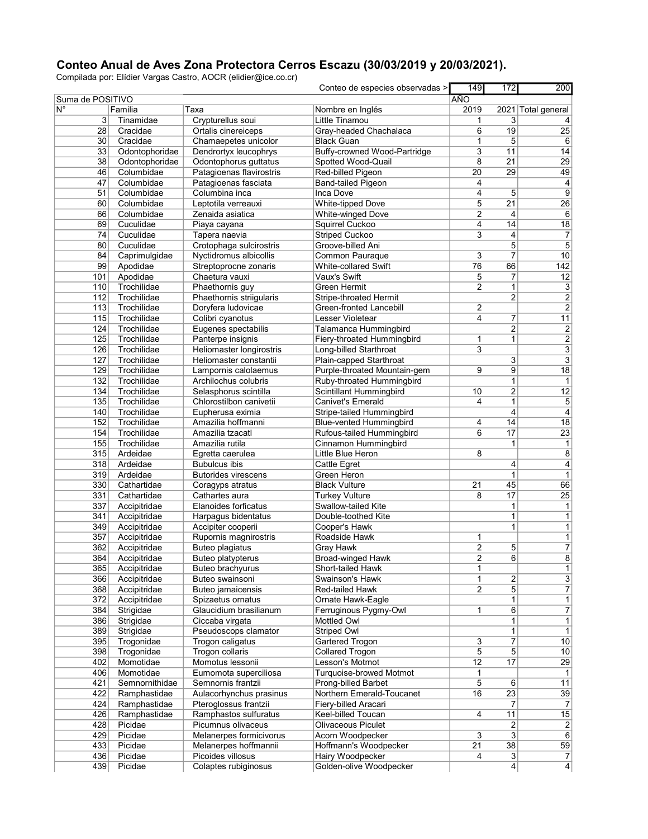## Conteo Anual de Aves Zona Protectora Cerros Escazu (30/03/2019 y 20/03/2021).

Compilada por: Elídier Vargas Castro, AOCR (elidier@ice.co.cr)

|                  |                |                            | Conteo de especies observadas > | 149             | 172                     | 200                |
|------------------|----------------|----------------------------|---------------------------------|-----------------|-------------------------|--------------------|
| Suma de POSITIVO |                |                            |                                 | <b>AÑO</b>      |                         |                    |
|                  | Familia        | Таха                       | Nombre en Inglés                | 2019            |                         | 2021 Total general |
| 3                | Tinamidae      | Crypturellus soui          | Little Tinamou                  | 1               | 3                       |                    |
| 28               | Cracidae       | Ortalis cinereiceps        | Gray-headed Chachalaca          | 6               | 19                      | 25                 |
| $30$             | Cracidae       | Chamaepetes unicolor       | <b>Black Guan</b>               | 1               | 5                       |                    |
| 33               | Odontophoridae | Dendrortyx leucophrys      | Buffy-crowned Wood-Partridge    | 3               | 11                      | 14                 |
| 38               | Odontophoridae | Odontophorus guttatus      | Spotted Wood-Quail              | 8               | 21                      | 29                 |
| 46               | Columbidae     | Patagioenas flavirostris   | Red-billed Pigeon               | 20              | 29                      | 49                 |
| 47               | Columbidae     | Patagioenas fasciata       | Band-tailed Pigeon              | 4               |                         |                    |
| 51               | Columbidae     | Columbina inca             | Inca Dove                       | 4               | 5                       |                    |
| 60               | Columbidae     | Leptotila verreauxi        | White-tipped Dove               | 5               | 21                      | $\overline{26}$    |
| 66               | Columbidae     | Zenaida asiatica           | White-winged Dove               | $\overline{2}$  | 4                       |                    |
| 69               | Cuculidae      | Piaya cayana               | Squirrel Cuckoo                 | 4               | 14                      | 18                 |
| 74               | Cuculidae      | Tapera naevia              | <b>Striped Cuckoo</b>           | 3               | 4                       |                    |
| 80               | Cuculidae      | Crotophaga sulcirostris    | Groove-billed Ani               |                 | 5                       |                    |
| 84               | Caprimulgidae  | Nyctidromus albicollis     | <b>Common Pauraque</b>          | 3               | $\overline{7}$          | 10                 |
| 99               | Apodidae       | Streptoprocne zonaris      | White-collared Swift            | $\overline{76}$ | 66                      | 142                |
|                  |                |                            | Vaux's Swift                    |                 |                         |                    |
| 101              | Apodidae       | Chaetura vauxi             |                                 | 5               | 7                       | 12                 |
| 110              | Trochilidae    | Phaethornis guy            | Green Hermit                    | 2               | 1                       |                    |
| 112              | Trochilidae    | Phaethornis striigularis   | Stripe-throated Hermit          |                 | $\overline{2}$          |                    |
| 113              | Trochilidae    | Doryfera ludovicae         | Green-fronted Lancebill         | 2               |                         |                    |
| 115              | Trochilidae    | Colibri cyanotus           | Lesser Violetear                | 4               | 7                       |                    |
| 124              | Trochilidae    | Eugenes spectabilis        | Talamanca Hummingbird           |                 | $\overline{2}$          |                    |
| 125              | Trochilidae    | Panterpe insignis          | Fiery-throated Hummingbird      | 1               | 1                       |                    |
| 126              | Trochilidae    | Heliomaster longirostris   | Long-billed Starthroat          | 3               |                         |                    |
| 127              | Trochilidae    | Heliomaster constantii     | Plain-capped Starthroat         |                 | 3                       |                    |
| 129              | Trochilidae    | Lampornis calolaemus       | Purple-throated Mountain-gem    | 9               | 9                       |                    |
| 132              | Trochilidae    | Archilochus colubris       | Ruby-throated Hummingbird       |                 | $\mathbf{1}$            |                    |
| 134              | Trochilidae    | Selasphorus scintilla      | Scintillant Hummingbird         | 10              | $\overline{2}$          |                    |
|                  |                | Chlorostilbon canivetii    | <b>Canivet's Emerald</b>        | 4               |                         |                    |
| 135              | Trochilidae    |                            |                                 |                 | 1                       |                    |
| 140              | Trochilidae    | Eupherusa eximia           | Stripe-tailed Hummingbird       |                 | 4                       |                    |
| 152              | Trochilidae    | Amazilia hoffmanni         | <b>Blue-vented Hummingbird</b>  | 4               | 14                      |                    |
| 154              | Trochilidae    | Amazilia tzacatl           | Rufous-tailed Hummingbird       | 6               | 17                      |                    |
| 155              | Trochilidae    | Amazilia rutila            | Cinnamon Hummingbird            |                 | 1                       |                    |
| 315              | Ardeidae       | Egretta caerulea           | Little Blue Heron               | 8               |                         |                    |
| 318              | Ardeidae       | <b>Bubulcus ibis</b>       | Cattle Egret                    |                 | 4                       |                    |
| 319              | Ardeidae       | <b>Butorides virescens</b> | Green Heron                     |                 | $\mathbf{1}$            |                    |
| 330              | Cathartidae    | Coragyps atratus           | <b>Black Vulture</b>            | 21              | 45                      |                    |
| 331              | Cathartidae    | Cathartes aura             | <b>Turkey Vulture</b>           | 8               | 17                      |                    |
| 337              | Accipitridae   | Elanoides forficatus       | Swallow-tailed Kite             |                 | 1                       |                    |
| 341              | Accipitridae   | Harpagus bidentatus        | Double-toothed Kite             |                 | $\mathbf{1}$            |                    |
| 349              | Accipitridae   | Accipiter cooperii         |                                 |                 | $\mathbf{1}$            |                    |
|                  |                |                            | Cooper's Hawk                   |                 |                         |                    |
| 357              | Accipitridae   | Rupornis magnirostris      | Roadside Hawk                   | 1               |                         |                    |
| 362              | Accipitridae   | Buteo plagiatus            | Gray Hawk                       | 2               | 5                       |                    |
| 364              | Accipitridae   | Buteo platypterus          | Broad-winged Hawk               | $\overline{2}$  | $\overline{6}$          |                    |
| 365              | Accipitridae   | Buteo brachyurus           | Short-tailed Hawk               | 1               |                         |                    |
| 366              | Accipitridae   | Buteo swainsoni            | Swainson's Hawk                 | 1               | $\overline{\mathbf{2}}$ |                    |
| 368              | Accipitridae   | Buteo jamaicensis          | <b>Red-tailed Hawk</b>          | $\overline{2}$  | $\overline{5}$          |                    |
| 372              | Accipitridae   | Spizaetus ornatus          | Ornate Hawk-Eagle               |                 | 1                       |                    |
| 384              | Strigidae      | Glaucidium brasilianum     | Ferruginous Pygmy-Owl           | 1               | 6                       |                    |
| 386              | Strigidae      | Ciccaba virgata            | Mottled Owl                     |                 | 1                       |                    |
| 389              | Strigidae      | Pseudoscops clamator       | Striped Owl                     |                 | 1                       |                    |
| 395              | Trogonidae     | Trogon caligatus           | Gartered Trogon                 | 3               | $\overline{7}$          |                    |
| 398              | Trogonidae     | Trogon collaris            | Collared Trogon                 | 5               | $\mathbf 5$             |                    |
|                  | Momotidae      | Momotus lessonii           | Lesson's Motmot                 |                 | 17                      |                    |
| 402              |                |                            |                                 | 12              |                         |                    |
| 406              | Momotidae      | Eumomota superciliosa      | Turquoise-browed Motmot         | 1               |                         |                    |
| 421              | Semnornithidae | Semnornis frantzii         | Prong-billed Barbet             | 5               | 6                       |                    |
| 422              | Ramphastidae   | Aulacorhynchus prasinus    | Northern Emerald-Toucanet       | 16              | 23                      |                    |
| 424              | Ramphastidae   | Pteroglossus frantzii      | Fiery-billed Aracari            |                 | $\overline{7}$          |                    |
| 426              | Ramphastidae   | Ramphastos sulfuratus      | Keel-billed Toucan              | 4               | 11                      |                    |
| 428              | Picidae        | Picumnus olivaceus         | Olivaceous Piculet              |                 | 2                       |                    |
| 429              | Picidae        | Melanerpes formicivorus    | Acorn Woodpecker                | 3               | 3                       |                    |
| 433              | Picidae        | Melanerpes hoffmannii      | Hoffmann's Woodpecker           | 21              | 38                      |                    |
| 436              | Picidae        | Picoides villosus          | Hairy Woodpecker                | 4               | 3                       |                    |
|                  |                |                            |                                 |                 |                         |                    |
| 439              | Picidae        | Colaptes rubiginosus       | Golden-olive Woodpecker         |                 | $\vert 4 \vert$         |                    |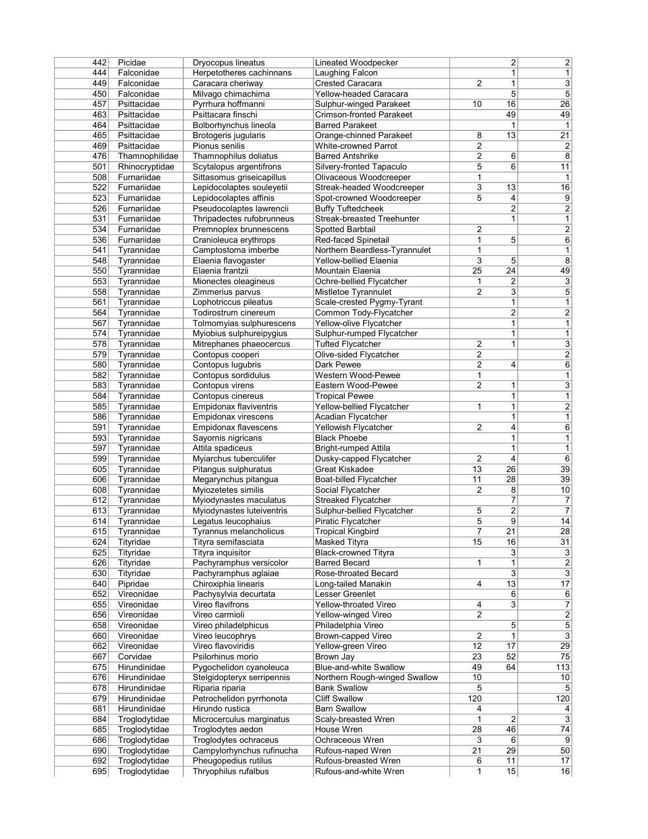| 442        | Picidae        | Dryocopus lineatus         | Lineated Woodpecker               |                         | $\overline{\mathbf{c}}$ | $\overline{2}$          |
|------------|----------------|----------------------------|-----------------------------------|-------------------------|-------------------------|-------------------------|
| 444        | Falconidae     | Herpetotheres cachinnans   | Laughing Falcon                   |                         | $\mathbf{1}$            | $\mathbf{1}$            |
| 449        | Falconidae     | Caracara cheriway          | <b>Crested Caracara</b>           | $\overline{2}$          | $\mathbf 1$             | $\overline{3}$          |
| 450        | Falconidae     | Milvago chimachima         | Yellow-headed Caracara            |                         | 5                       | $\overline{5}$          |
| 457        | Psittacidae    | Pyrrhura hoffmanni         | Sulphur-winged Parakeet           | 10                      | 16                      | $\overline{26}$         |
| 463        | Psittacidae    | Psittacara finschi         | <b>Crimson-fronted Parakeet</b>   |                         | 49                      | 49                      |
| 464        | Psittacidae    | Bolborhynchus lineola      | <b>Barred Parakeet</b>            |                         | 1                       | $\mathbf{1}$            |
| 465        | Psittacidae    | Brotogeris jugularis       | Orange-chinned Parakeet           | 8                       | 13                      | $\overline{21}$         |
| 469        | Psittacidae    | Pionus senilis             | <b>White-crowned Parrot</b>       | 2                       |                         | $\overline{2}$          |
| 476        | Thamnophilidae | Thamnophilus doliatus      | <b>Barred Antshrike</b>           | 2                       | 6                       | $\overline{8}$          |
| 501        | Rhinocryptidae | Scytalopus argentifrons    | Silvery-fronted Tapaculo          | 5                       | 6                       | 11                      |
| 508        | Furnariidae    | Sittasomus griseicapillus  | Olivaceous Woodcreeper            | $\mathbf{1}$            |                         | $\mathbf{1}$            |
| 522        | Furnariidae    | Lepidocolaptes souleyetii  | Streak-headed Woodcreeper         | 3                       | 13                      | 16                      |
| 523        | Furnariidae    | Lepidocolaptes affinis     | Spot-crowned Woodcreeper          | 5                       | 4                       | $\overline{9}$          |
| 526        | Furnariidae    | Pseudocolaptes lawrencii   | <b>Buffy Tuftedcheek</b>          |                         | $\overline{2}$          | $\overline{2}$          |
| 531        | Furnariidae    | Thripadectes rufobrunneus  | <b>Streak-breasted Treehunter</b> |                         | 1                       | $\mathbf{1}$            |
| 534        | Furnariidae    | Premnoplex brunnescens     | Spotted Barbtail                  | $\overline{2}$          |                         | $\overline{2}$          |
| 536        | Furnariidae    | Cranioleuca erythrops      | Red-faced Spinetail               | $\mathbf{1}$            | 5                       | $\overline{6}$          |
| 541        | Tyrannidae     | Camptostoma imberbe        | Northern Beardless-Tyrannulet     | 1                       |                         | $\overline{1}$          |
|            | Tyrannidae     |                            |                                   | 3                       | 5                       | $\overline{8}$          |
| 548        |                | Elaenia flavogaster        | Yellow-bellied Elaenia            |                         |                         | 49                      |
| 550        | Tyrannidae     | Elaenia frantzii           | Mountain Elaenia                  | $\overline{25}$         | 24                      |                         |
| 553        | Tyrannidae     | Mionectes oleagineus       | Ochre-bellied Flycatcher          | 1                       | 2                       | $\overline{3}$          |
| 558        | Tyrannidae     | Zimmerius parvus           | Mistletoe Tyrannulet              | $\overline{2}$          | 3                       | $\overline{5}$          |
| 561        | Tyrannidae     | Lophotriccus pileatus      | Scale-crested Pygmy-Tyrant        |                         | 1                       | $\mathbf{1}$            |
| 564        | Tyrannidae     | Todirostrum cinereum       | Common Tody-Flycatcher            |                         | $\overline{2}$          | $\overline{2}$          |
| 567        | Tyrannidae     | Tolmomyias sulphurescens   | Yellow-olive Flycatcher           |                         | 1                       | $\overline{1}$          |
| 574        | Tyrannidae     | Myiobius sulphureipygius   | Sulphur-rumped Flycatcher         |                         | 1                       | $\overline{1}$          |
| 578        | Tyrannidae     | Mitrephanes phaeocercus    | <b>Tufted Flycatcher</b>          | $\overline{\mathbf{c}}$ | $\mathbf{1}$            | $\overline{3}$          |
| 579        | Tyrannidae     | Contopus cooperi           | Olive-sided Flycatcher            | $\overline{2}$          |                         | $\overline{2}$          |
| 580        | Tyrannidae     | Contopus luqubris          | Dark Pewee                        | 2                       | 4                       | 6                       |
| 582        | Tyrannidae     | Contopus sordidulus        | Western Wood-Pewee                | 1                       |                         | $\overline{1}$          |
| 583        | Tyrannidae     | Contopus virens            | Eastern Wood-Pewee                | 2                       | $\mathbf{1}$            | $\overline{3}$          |
| 584        | Tyrannidae     | Contopus cinereus          | <b>Tropical Pewee</b>             |                         | 1                       | $\overline{1}$          |
| 585        | Tyrannidae     | Empidonax flaviventris     | Yellow-bellied Flycatcher         | 1                       | 1                       | $\overline{2}$          |
| 586        | Tyrannidae     | Empidonax virescens        | Acadian Flycatcher                |                         | $\mathbf{1}$            | $\overline{1}$          |
| 591        | Tyrannidae     | Empidonax flavescens       | Yellowish Flycatcher              | 2                       | 4                       | $\overline{6}$          |
| 593        | Tyrannidae     | Sayornis nigricans         | <b>Black Phoebe</b>               |                         | $\mathbf{1}$            | $\mathbf{1}$            |
| 597        | Tyrannidae     | Attila spadiceus           | Bright-rumped Attila              |                         | $\mathbf 1$             | $\mathbf{1}$            |
| 599        | Tyrannidae     | Myiarchus tuberculifer     | Dusky-capped Flycatcher           | $\overline{\mathbf{c}}$ | 4                       | $\overline{6}$          |
| 605        | Tyrannidae     | Pitangus sulphuratus       | <b>Great Kiskadee</b>             | 13                      | $\overline{26}$         | $\overline{39}$         |
| 606        | Tyrannidae     | Megarynchus pitangua       | Boat-billed Flycatcher            | 11                      | 28                      | 39                      |
|            |                |                            |                                   | $\overline{2}$          | 8                       |                         |
| 608<br>612 | Tyrannidae     | Myiozetetes similis        | Social Flycatcher                 |                         | 7                       | 10                      |
|            | Tyrannidae     | Myiodynastes maculatus     | <b>Streaked Flycatcher</b>        |                         |                         | $\overline{7}$          |
| 613        | Tyrannidae     | Myiodynastes luteiventris  | Sulphur-bellied Flycatcher        | 5                       | $\overline{\mathbf{c}}$ | $\overline{7}$          |
| 614        | Tyrannidae     | Legatus leucophaius        | Piratic Flycatcher                | 5                       | 9                       | 14                      |
| 615        | Tyrannidae     | Tyrannus melancholicus     | <b>Tropical Kingbird</b>          | 7                       | $\overline{21}$         | $\overline{28}$         |
| 624        | Tityridae      | Tityra semifasciata        | <b>Masked Tityra</b>              | 15                      | 16                      | 31                      |
| 625        | Tityridae      | Tityra inquisitor          | <b>Black-crowned Tityra</b>       |                         | 3                       | $\overline{3}$          |
| 626        | Tityridae      | Pachyramphus versicolor    | <b>Barred Becard</b>              | 1                       | 1                       | $\frac{2}{3}$           |
| 630        | Tityridae      | Pachyramphus aglaiae       | Rose-throated Becard              |                         | 3                       |                         |
| 640        | Pipridae       | Chiroxiphia linearis       | Long-tailed Manakin               | 4                       | 13                      | $\overline{17}$         |
| 652        | Vireonidae     | Pachysylvia decurtata      | Lesser Greenlet                   |                         | 6                       | 6                       |
| 655        | Vireonidae     | Vireo flavifrons           | Yellow-throated Vireo             | 4                       | 3                       | $\overline{7}$          |
| 656        | Vireonidae     | Vireo carmioli             | Yellow-winged Vireo               | $\overline{c}$          |                         | $\frac{2}{5}$           |
| 658        | Vireonidae     | Vireo philadelphicus       | Philadelphia Vireo                |                         | 5                       |                         |
| 660        | Vireonidae     | Vireo leucophrys           | Brown-capped Vireo                | 2                       | $\mathbf{1}$            | $\overline{\mathbf{3}}$ |
| 662        | Vireonidae     | Vireo flavoviridis         | Yellow-green Vireo                | 12                      | 17                      | $\overline{29}$         |
| 667        | Corvidae       | Psilorhinus morio          | Brown Jay                         | 23                      | 52                      | 75                      |
| 675        | Hirundinidae   | Pygochelidon cyanoleuca    | <b>Blue-and-white Swallow</b>     | 49                      | 64                      | 113                     |
| 676        | Hirundinidae   | Stelgidopteryx serripennis | Northern Rough-winged Swallow     | 10                      |                         | 10                      |
| 678        | Hirundinidae   | Riparia riparia            | <b>Bank Swallow</b>               | 5                       |                         | 5 <sup>2</sup>          |
| 679        | Hirundinidae   | Petrochelidon pyrrhonota   | <b>Cliff Swallow</b>              | 120                     |                         | 120                     |
| 681        | Hirundinidae   | Hirundo rustica            | <b>Barn Swallow</b>               | 4                       |                         | 4                       |
| 684        | Troglodytidae  | Microcerculus marginatus   | Scaly-breasted Wren               | 1                       | $\overline{2}$          | $\overline{3}$          |
| 685        | Troglodytidae  | Troglodytes aedon          | House Wren                        | 28                      | 46                      | $\overline{74}$         |
|            |                |                            | Ochraceous Wren                   |                         |                         |                         |
| 686        | Troglodytidae  | Troglodytes ochraceus      |                                   | 3                       | 6                       | 9<br>50                 |
| 690        | Troglodytidae  | Campylorhynchus rufinucha  | Rufous-naped Wren                 | 21                      | 29                      |                         |
| 692        | Troglodytidae  | Pheugopedius rutilus       | Rufous-breasted Wren              | 6                       | 11                      | 17                      |
| 695        | Troglodytidae  | Thryophilus rufalbus       | Rufous-and-white Wren             | 1                       | 15                      | 16                      |